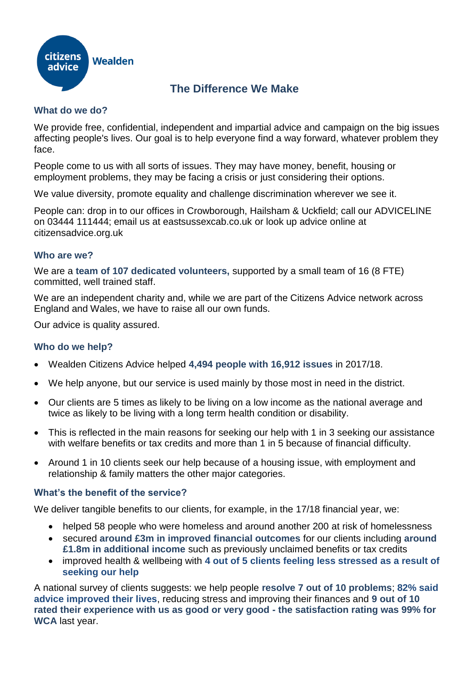

# **The Difference We Make**

## **What do we do?**

We provide free, confidential, independent and impartial advice and campaign on the big issues affecting people's lives. Our goal is to help everyone find a way forward, whatever problem they face.

People come to us with all sorts of issues. They may have money, benefit, housing or employment problems, they may be facing a crisis or just considering their options.

We value diversity, promote equality and challenge discrimination wherever we see it.

People can: drop in to our offices in Crowborough, Hailsham & Uckfield; call our ADVICELINE on 03444 111444; email us at eastsussexcab.co.uk or look up advice online at citizensadvice.org.uk

## **Who are we?**

We are a **team of 107 dedicated volunteers,** supported by a small team of 16 (8 FTE) committed, well trained staff.

We are an independent charity and, while we are part of the Citizens Advice network across England and Wales, we have to raise all our own funds.

Our advice is quality assured.

#### **Who do we help?**

- Wealden Citizens Advice helped **4,494 people with 16,912 issues** in 2017/18.
- We help anyone, but our service is used mainly by those most in need in the district.
- Our clients are 5 times as likely to be living on a low income as the national average and twice as likely to be living with a long term health condition or disability.
- This is reflected in the main reasons for seeking our help with 1 in 3 seeking our assistance with welfare benefits or tax credits and more than 1 in 5 because of financial difficulty.
- Around 1 in 10 clients seek our help because of a housing issue, with employment and relationship & family matters the other major categories.

#### **What's the benefit of the service?**

We deliver tangible benefits to our clients, for example, in the 17/18 financial year, we:

- helped 58 people who were homeless and around another 200 at risk of homelessness
- secured **around £3m in improved financial outcomes** for our clients including **around £1.8m in additional income** such as previously unclaimed benefits or tax credits
- improved health & wellbeing with **4 out of 5 clients feeling less stressed as a result of seeking our help**

A national survey of clients suggests: we help people **resolve 7 out of 10 problems**; **82% said advice improved their lives**, reducing stress and improving their finances and **9 out of 10 rated their experience with us as good or very good - the satisfaction rating was 99% for WCA** last year.